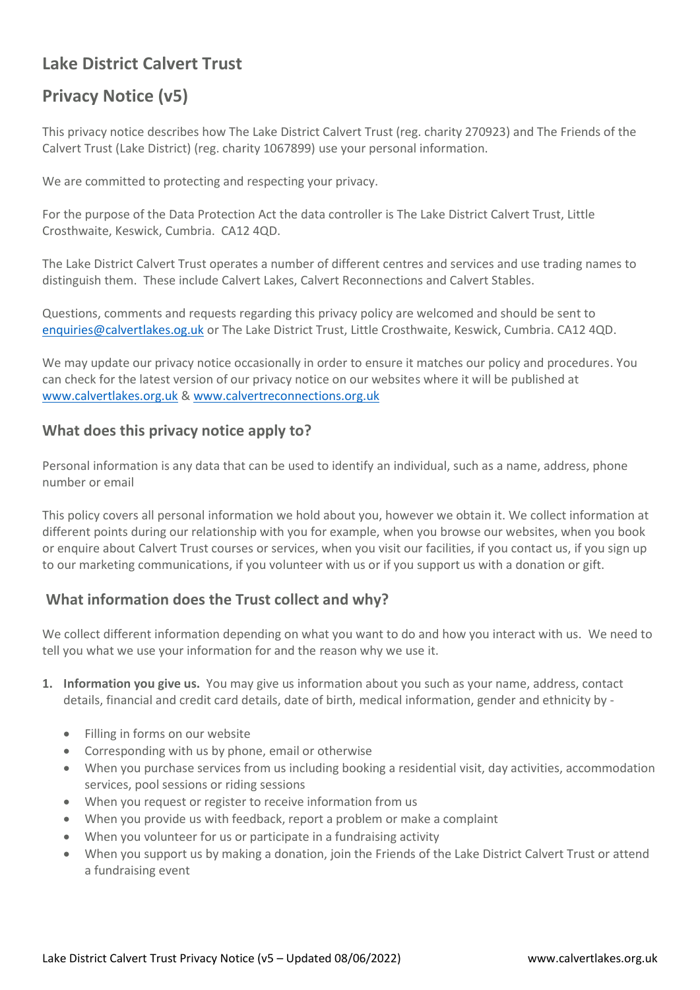## **Lake District Calvert Trust**

# **Privacy Notice (v5)**

This privacy notice describes how The Lake District Calvert Trust (reg. charity 270923) and The Friends of the Calvert Trust (Lake District) (reg. charity 1067899) use your personal information.

We are committed to protecting and respecting your privacy.

For the purpose of the Data Protection Act the data controller is The Lake District Calvert Trust, Little Crosthwaite, Keswick, Cumbria. CA12 4QD.

The Lake District Calvert Trust operates a number of different centres and services and use trading names to distinguish them. These include Calvert Lakes, Calvert Reconnections and Calvert Stables.

Questions, comments and requests regarding this privacy policy are welcomed and should be sent to [enquiries@calvertlakes.og.uk](mailto:enquiries@calvertlakes.og.uk) or The Lake District Trust, Little Crosthwaite, Keswick, Cumbria. CA12 4QD.

We may update our privacy notice occasionally in order to ensure it matches our policy and procedures. You can check for the latest version of our privacy notice on our websites where it will be published at [www.calvertlakes.org.uk](http://www.calvertlakes.org.uk/) & [www.calvertreconnections.org.uk](http://www.calvertreconnections.org.uk/)

### **What does this privacy notice apply to?**

Personal information is any data that can be used to identify an individual, such as a name, address, phone number or email

This policy covers all personal information we hold about you, however we obtain it. We collect information at different points during our relationship with you for example, when you browse our websites, when you book or enquire about Calvert Trust courses or services, when you visit our facilities, if you contact us, if you sign up to our marketing communications, if you volunteer with us or if you support us with a donation or gift.

## **What information does the Trust collect and why?**

We collect different information depending on what you want to do and how you interact with us. We need to tell you what we use your information for and the reason why we use it.

- **1. Information you give us.** You may give us information about you such as your name, address, contact details, financial and credit card details, date of birth, medical information, gender and ethnicity by -
	- Filling in forms on our website
	- Corresponding with us by phone, email or otherwise
	- When you purchase services from us including booking a residential visit, day activities, accommodation services, pool sessions or riding sessions
	- When you request or register to receive information from us
	- When you provide us with feedback, report a problem or make a complaint
	- When you volunteer for us or participate in a fundraising activity
	- When you support us by making a donation, join the Friends of the Lake District Calvert Trust or attend a fundraising event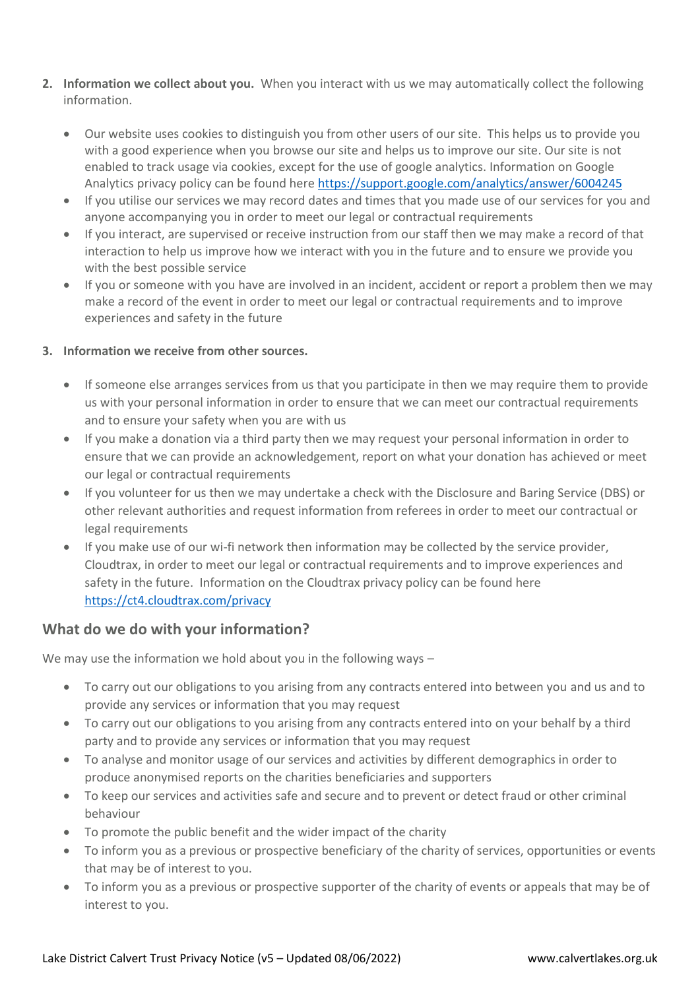- **2. Information we collect about you.** When you interact with us we may automatically collect the following information.
	- Our website uses cookies to distinguish you from other users of our site. This helps us to provide you with a good experience when you browse our site and helps us to improve our site. Our site is not enabled to track usage via cookies, except for the use of google analytics. Information on Google Analytics privacy policy can be found here<https://support.google.com/analytics/answer/6004245>
	- If you utilise our services we may record dates and times that you made use of our services for you and anyone accompanying you in order to meet our legal or contractual requirements
	- If you interact, are supervised or receive instruction from our staff then we may make a record of that interaction to help us improve how we interact with you in the future and to ensure we provide you with the best possible service
	- If you or someone with you have are involved in an incident, accident or report a problem then we may make a record of the event in order to meet our legal or contractual requirements and to improve experiences and safety in the future

#### **3. Information we receive from other sources.**

- If someone else arranges services from us that you participate in then we may require them to provide us with your personal information in order to ensure that we can meet our contractual requirements and to ensure your safety when you are with us
- If you make a donation via a third party then we may request your personal information in order to ensure that we can provide an acknowledgement, report on what your donation has achieved or meet our legal or contractual requirements
- If you volunteer for us then we may undertake a check with the Disclosure and Baring Service (DBS) or other relevant authorities and request information from referees in order to meet our contractual or legal requirements
- If you make use of our wi-fi network then information may be collected by the service provider, Cloudtrax, in order to meet our legal or contractual requirements and to improve experiences and safety in the future. Information on the Cloudtrax privacy policy can be found here <https://ct4.cloudtrax.com/privacy>

### **What do we do with your information?**

We may use the information we hold about you in the following ways –

- To carry out our obligations to you arising from any contracts entered into between you and us and to provide any services or information that you may request
- To carry out our obligations to you arising from any contracts entered into on your behalf by a third party and to provide any services or information that you may request
- To analyse and monitor usage of our services and activities by different demographics in order to produce anonymised reports on the charities beneficiaries and supporters
- To keep our services and activities safe and secure and to prevent or detect fraud or other criminal behaviour
- To promote the public benefit and the wider impact of the charity
- To inform you as a previous or prospective beneficiary of the charity of services, opportunities or events that may be of interest to you.
- To inform you as a previous or prospective supporter of the charity of events or appeals that may be of interest to you.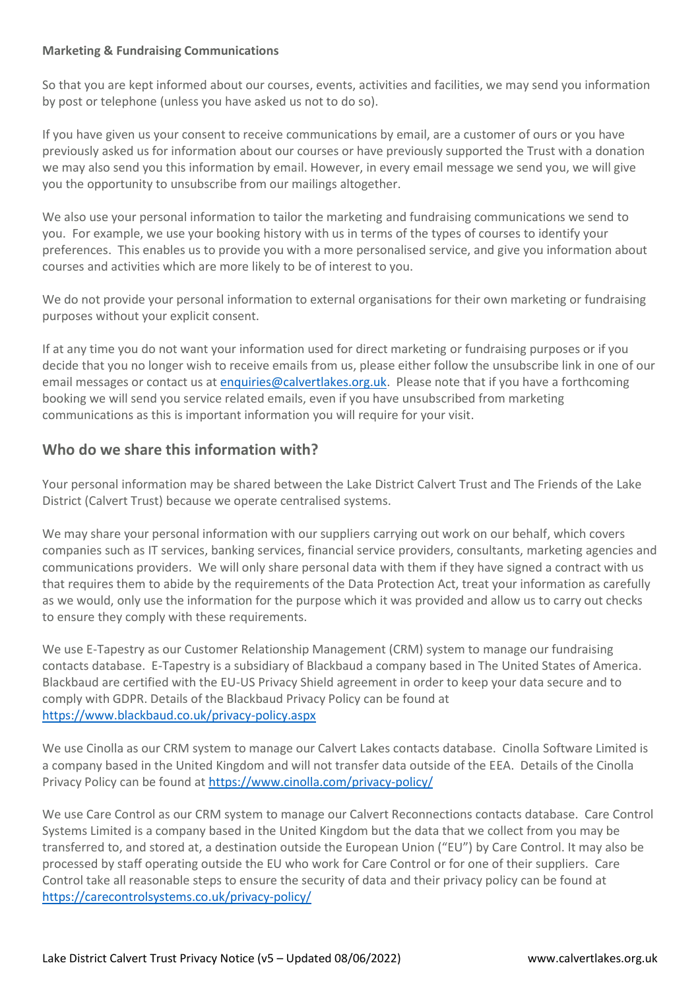#### **Marketing & Fundraising Communications**

So that you are kept informed about our courses, events, activities and facilities, we may send you information by post or telephone (unless you have asked us not to do so).

If you have given us your consent to receive communications by email, are a customer of ours or you have previously asked us for information about our courses or have previously supported the Trust with a donation we may also send you this information by email. However, in every email message we send you, we will give you the opportunity to unsubscribe from our mailings altogether.

We also use your personal information to tailor the marketing and fundraising communications we send to you. For example, we use your booking history with us in terms of the types of courses to identify your preferences. This enables us to provide you with a more personalised service, and give you information about courses and activities which are more likely to be of interest to you.

We do not provide your personal information to external organisations for their own marketing or fundraising purposes without your explicit consent.

If at any time you do not want your information used for direct marketing or fundraising purposes or if you decide that you no longer wish to receive emails from us, please either follow the unsubscribe link in one of our email messages or contact us at [enquiries@calvertlakes.org.uk.](mailto:enquiries@calvertlakes.org.uk) Please note that if you have a forthcoming booking we will send you service related emails, even if you have unsubscribed from marketing communications as this is important information you will require for your visit.

### **Who do we share this information with?**

Your personal information may be shared between the Lake District Calvert Trust and The Friends of the Lake District (Calvert Trust) because we operate centralised systems.

We may share your personal information with our suppliers carrying out work on our behalf, which covers companies such as IT services, banking services, financial service providers, consultants, marketing agencies and communications providers. We will only share personal data with them if they have signed a contract with us that requires them to abide by the requirements of the Data Protection Act, treat your information as carefully as we would, only use the information for the purpose which it was provided and allow us to carry out checks to ensure they comply with these requirements.

We use E-Tapestry as our Customer Relationship Management (CRM) system to manage our fundraising contacts database. E-Tapestry is a subsidiary of Blackbaud a company based in The United States of America. Blackbaud are certified with the EU-US Privacy Shield agreement in order to keep your data secure and to comply with GDPR. Details of the Blackbaud Privacy Policy can be found at <https://www.blackbaud.co.uk/privacy-policy.aspx>

We use Cinolla as our CRM system to manage our Calvert Lakes contacts database. Cinolla Software Limited is a company based in the United Kingdom and will not transfer data outside of the EEA. Details of the Cinolla Privacy Policy can be found at<https://www.cinolla.com/privacy-policy/>

We use Care Control as our CRM system to manage our Calvert Reconnections contacts database. Care Control Systems Limited is a company based in the United Kingdom but the data that we collect from you may be transferred to, and stored at, a destination outside the European Union ("EU") by Care Control. It may also be processed by staff operating outside the EU who work for Care Control or for one of their suppliers. Care Control take all reasonable steps to ensure the security of data and their privacy policy can be found at <https://carecontrolsystems.co.uk/privacy-policy/>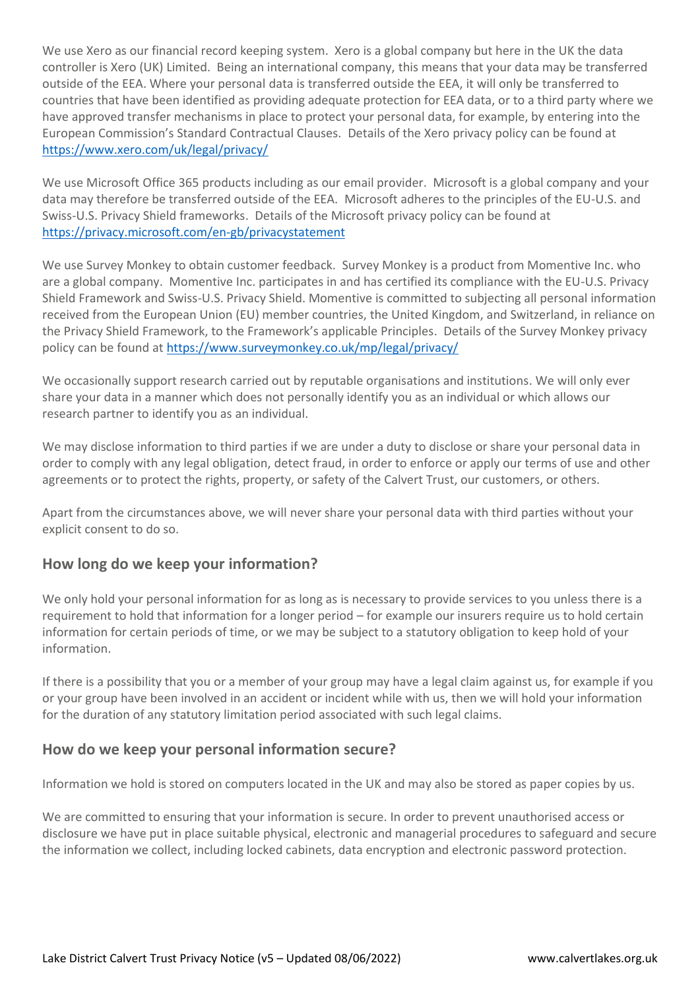We use Xero as our financial record keeping system. Xero is a global company but here in the UK the data controller is Xero (UK) Limited. Being an international company, this means that your data may be transferred outside of the EEA. Where your personal data is transferred outside the EEA, it will only be transferred to countries that have been identified as providing adequate protection for EEA data, or to a third party where we have approved transfer mechanisms in place to protect your personal data, for example, by entering into the European Commission's Standard Contractual Clauses. Details of the Xero privacy policy can be found at <https://www.xero.com/uk/legal/privacy/>

We use Microsoft Office 365 products including as our email provider. Microsoft is a global company and your data may therefore be transferred outside of the EEA. Microsoft adheres to the principles of the EU-U.S. and Swiss-U.S. Privacy Shield frameworks. Details of the Microsoft privacy policy can be found at <https://privacy.microsoft.com/en-gb/privacystatement>

We use Survey Monkey to obtain customer feedback. Survey Monkey is a product from Momentive Inc. who are a global company. Momentive Inc. participates in and has certified its compliance with the EU-U.S. Privacy Shield Framework and Swiss-U.S. Privacy Shield. Momentive is committed to subjecting all personal information received from the European Union (EU) member countries, the United Kingdom, and Switzerland, in reliance on the Privacy Shield Framework, to the Framework's applicable Principles. Details of the Survey Monkey privacy policy can be found a[t https://www.surveymonkey.co.uk/mp/legal/privacy/](https://www.surveymonkey.co.uk/mp/legal/privacy/)

We occasionally support research carried out by reputable organisations and institutions. We will only ever share your data in a manner which does not personally identify you as an individual or which allows our research partner to identify you as an individual.

We may disclose information to third parties if we are under a duty to disclose or share your personal data in order to comply with any legal obligation, detect fraud, in order to enforce or apply our terms of use and other agreements or to protect the rights, property, or safety of the Calvert Trust, our customers, or others.

Apart from the circumstances above, we will never share your personal data with third parties without your explicit consent to do so.

### **How long do we keep your information?**

We only hold your personal information for as long as is necessary to provide services to you unless there is a requirement to hold that information for a longer period – for example our insurers require us to hold certain information for certain periods of time, or we may be subject to a statutory obligation to keep hold of your information.

If there is a possibility that you or a member of your group may have a legal claim against us, for example if you or your group have been involved in an accident or incident while with us, then we will hold your information for the duration of any statutory limitation period associated with such legal claims.

### **How do we keep your personal information secure?**

Information we hold is stored on computers located in the UK and may also be stored as paper copies by us.

We are committed to ensuring that your information is secure. In order to prevent unauthorised access or disclosure we have put in place suitable physical, electronic and managerial procedures to safeguard and secure the information we collect, including locked cabinets, data encryption and electronic password protection.